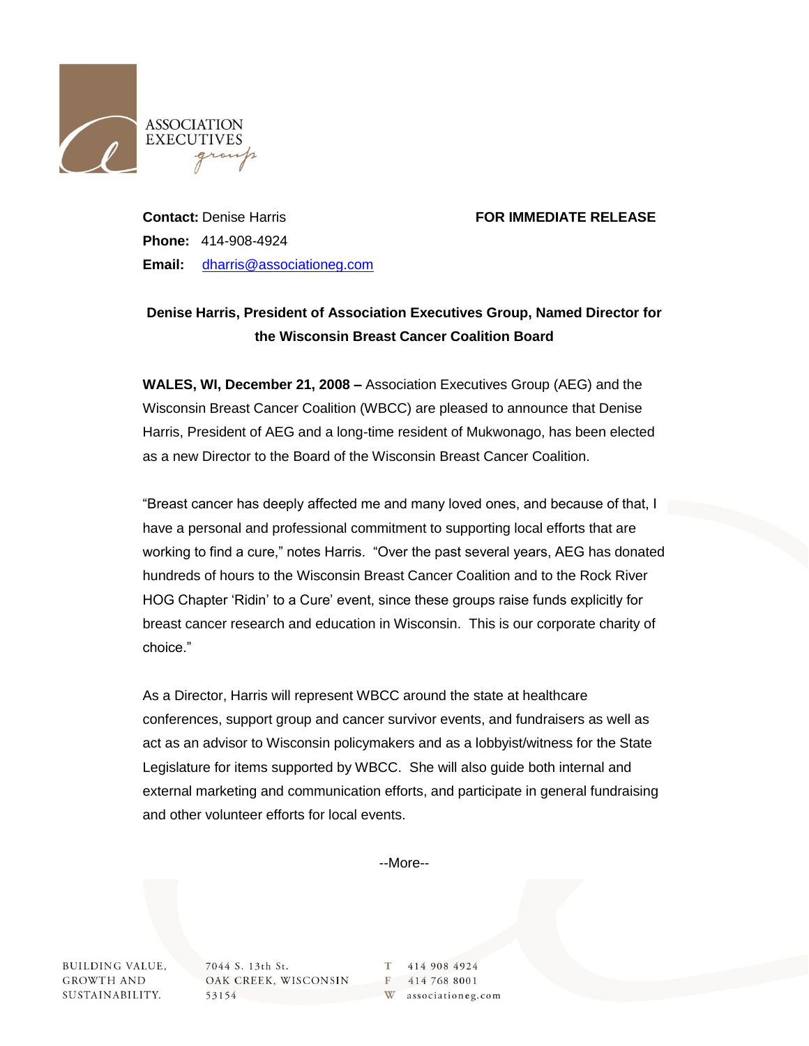

## **Contact:** Denise Harris **FOR IMMEDIATE RELEASE**

**Phone:** 414-908-4924 **Email:** [dharris@associationeg.com](mailto:dharris@associationeg.com)

## **Denise Harris, President of Association Executives Group, Named Director for the Wisconsin Breast Cancer Coalition Board**

**WALES, WI, December 21, 2008 –** Association Executives Group (AEG) and the Wisconsin Breast Cancer Coalition (WBCC) are pleased to announce that Denise Harris, President of AEG and a long-time resident of Mukwonago, has been elected as a new Director to the Board of the Wisconsin Breast Cancer Coalition.

"Breast cancer has deeply affected me and many loved ones, and because of that, I have a personal and professional commitment to supporting local efforts that are working to find a cure," notes Harris. "Over the past several years, AEG has donated hundreds of hours to the Wisconsin Breast Cancer Coalition and to the Rock River HOG Chapter 'Ridin' to a Cure' event, since these groups raise funds explicitly for breast cancer research and education in Wisconsin. This is our corporate charity of choice."

As a Director, Harris will represent WBCC around the state at healthcare conferences, support group and cancer survivor events, and fundraisers as well as act as an advisor to Wisconsin policymakers and as a lobbyist/witness for the State Legislature for items supported by WBCC. She will also guide both internal and external marketing and communication efforts, and participate in general fundraising and other volunteer efforts for local events.

--More--

**BUILDING VALUE, GROWTH AND** SUSTAINABILITY. 7044 S. 13th St. OAK CREEK, WISCONSIN 53154

T 414 908 4924 F 414 768 8001 W associationeg.com